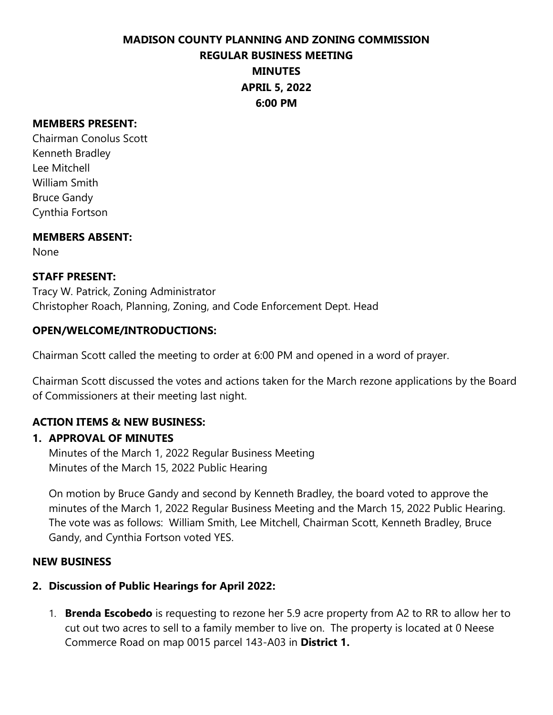#### **MEMBERS PRESENT:**

Chairman Conolus Scott Kenneth Bradley Lee Mitchell William Smith Bruce Gandy Cynthia Fortson

### **MEMBERS ABSENT:**

None

### **STAFF PRESENT:**

Tracy W. Patrick, Zoning Administrator Christopher Roach, Planning, Zoning, and Code Enforcement Dept. Head

### **OPEN/WELCOME/INTRODUCTIONS:**

Chairman Scott called the meeting to order at 6:00 PM and opened in a word of prayer.

Chairman Scott discussed the votes and actions taken for the March rezone applications by the Board of Commissioners at their meeting last night.

## **ACTION ITEMS & NEW BUSINESS:**

### **1. APPROVAL OF MINUTES**

Minutes of the March 1, 2022 Regular Business Meeting Minutes of the March 15, 2022 Public Hearing

On motion by Bruce Gandy and second by Kenneth Bradley, the board voted to approve the minutes of the March 1, 2022 Regular Business Meeting and the March 15, 2022 Public Hearing. The vote was as follows: William Smith, Lee Mitchell, Chairman Scott, Kenneth Bradley, Bruce Gandy, and Cynthia Fortson voted YES.

### **NEW BUSINESS**

### **2. Discussion of Public Hearings for April 2022:**

1. **Brenda Escobedo** is requesting to rezone her 5.9 acre property from A2 to RR to allow her to cut out two acres to sell to a family member to live on. The property is located at 0 Neese Commerce Road on map 0015 parcel 143-A03 in **District 1.**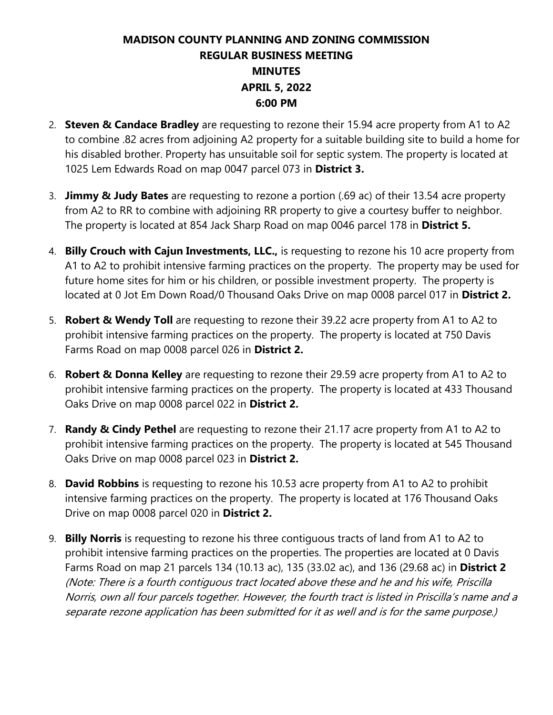- 2. **Steven & Candace Bradley** are requesting to rezone their 15.94 acre property from A1 to A2 to combine .82 acres from adjoining A2 property for a suitable building site to build a home for his disabled brother. Property has unsuitable soil for septic system. The property is located at 1025 Lem Edwards Road on map 0047 parcel 073 in **District 3.**
- 3. **Jimmy & Judy Bates** are requesting to rezone a portion (.69 ac) of their 13.54 acre property from A2 to RR to combine with adjoining RR property to give a courtesy buffer to neighbor. The property is located at 854 Jack Sharp Road on map 0046 parcel 178 in **District 5.**
- 4. **Billy Crouch with Cajun Investments, LLC.,** is requesting to rezone his 10 acre property from A1 to A2 to prohibit intensive farming practices on the property. The property may be used for future home sites for him or his children, or possible investment property. The property is located at 0 Jot Em Down Road/0 Thousand Oaks Drive on map 0008 parcel 017 in **District 2.**
- 5. **Robert & Wendy Toll** are requesting to rezone their 39.22 acre property from A1 to A2 to prohibit intensive farming practices on the property. The property is located at 750 Davis Farms Road on map 0008 parcel 026 in **District 2.**
- 6. **Robert & Donna Kelley** are requesting to rezone their 29.59 acre property from A1 to A2 to prohibit intensive farming practices on the property. The property is located at 433 Thousand Oaks Drive on map 0008 parcel 022 in **District 2.**
- 7. **Randy & Cindy Pethel** are requesting to rezone their 21.17 acre property from A1 to A2 to prohibit intensive farming practices on the property. The property is located at 545 Thousand Oaks Drive on map 0008 parcel 023 in **District 2.**
- 8. **David Robbins** is requesting to rezone his 10.53 acre property from A1 to A2 to prohibit intensive farming practices on the property. The property is located at 176 Thousand Oaks Drive on map 0008 parcel 020 in **District 2.**
- 9. **Billy Norris** is requesting to rezone his three contiguous tracts of land from A1 to A2 to prohibit intensive farming practices on the properties. The properties are located at 0 Davis Farms Road on map 21 parcels 134 (10.13 ac), 135 (33.02 ac), and 136 (29.68 ac) in **District 2**  (Note: There is a fourth contiguous tract located above these and he and his wife, Priscilla Norris, own all four parcels together. However, the fourth tract is listed in Priscilla's name and a separate rezone application has been submitted for it as well and is for the same purpose.)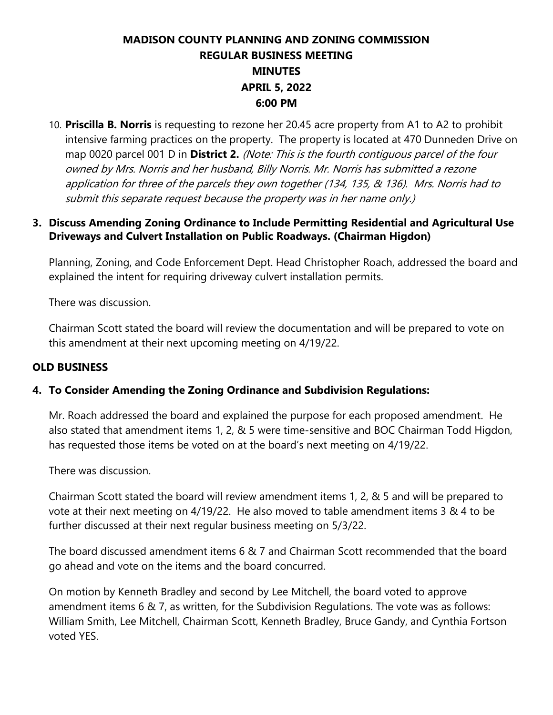10. **Priscilla B. Norris** is requesting to rezone her 20.45 acre property from A1 to A2 to prohibit intensive farming practices on the property. The property is located at 470 Dunneden Drive on map 0020 parcel 001 D in **District 2.** (Note: This is the fourth contiguous parcel of the four owned by Mrs. Norris and her husband, Billy Norris. Mr. Norris has submitted a rezone application for three of the parcels they own together (134, 135, & 136). Mrs. Norris had to submit this separate request because the property was in her name only.)

## **3. Discuss Amending Zoning Ordinance to Include Permitting Residential and Agricultural Use Driveways and Culvert Installation on Public Roadways. (Chairman Higdon)**

Planning, Zoning, and Code Enforcement Dept. Head Christopher Roach, addressed the board and explained the intent for requiring driveway culvert installation permits.

There was discussion.

Chairman Scott stated the board will review the documentation and will be prepared to vote on this amendment at their next upcoming meeting on 4/19/22.

## **OLD BUSINESS**

## **4. To Consider Amending the Zoning Ordinance and Subdivision Regulations:**

Mr. Roach addressed the board and explained the purpose for each proposed amendment. He also stated that amendment items 1, 2, & 5 were time-sensitive and BOC Chairman Todd Higdon, has requested those items be voted on at the board's next meeting on 4/19/22.

There was discussion.

Chairman Scott stated the board will review amendment items 1, 2, & 5 and will be prepared to vote at their next meeting on 4/19/22. He also moved to table amendment items 3 & 4 to be further discussed at their next regular business meeting on 5/3/22.

The board discussed amendment items 6 & 7 and Chairman Scott recommended that the board go ahead and vote on the items and the board concurred.

On motion by Kenneth Bradley and second by Lee Mitchell, the board voted to approve amendment items 6 & 7, as written, for the Subdivision Regulations. The vote was as follows: William Smith, Lee Mitchell, Chairman Scott, Kenneth Bradley, Bruce Gandy, and Cynthia Fortson voted YES.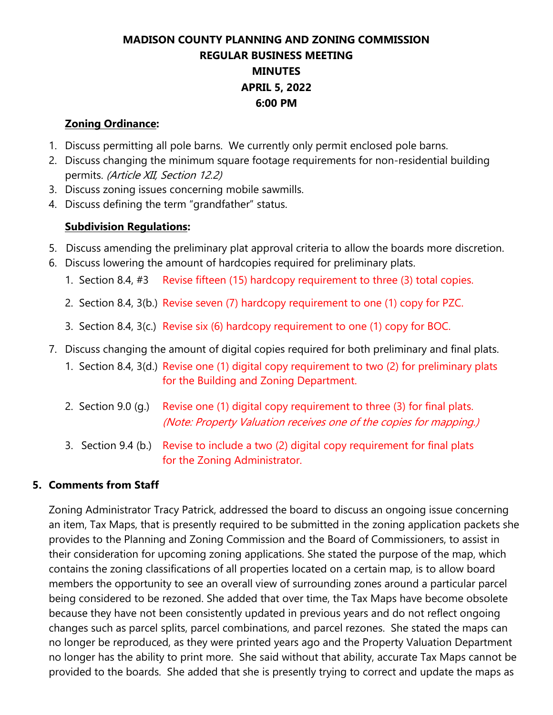### **Zoning Ordinance:**

- 1. Discuss permitting all pole barns. We currently only permit enclosed pole barns.
- 2. Discuss changing the minimum square footage requirements for non-residential building permits. (Article XII, Section 12.2)
- 3. Discuss zoning issues concerning mobile sawmills.
- 4. Discuss defining the term "grandfather" status.

## **Subdivision Regulations:**

- 5. Discuss amending the preliminary plat approval criteria to allow the boards more discretion.
- 6. Discuss lowering the amount of hardcopies required for preliminary plats.
	- 1. Section 8.4, #3 Revise fifteen (15) hardcopy requirement to three (3) total copies.
	- 2. Section 8.4, 3(b.) Revise seven (7) hardcopy requirement to one (1) copy for PZC.
	- 3. Section 8.4, 3(c.) Revise six (6) hardcopy requirement to one (1) copy for BOC.
- 7. Discuss changing the amount of digital copies required for both preliminary and final plats.
	- 1. Section 8.4, 3(d.) Revise one (1) digital copy requirement to two (2) for preliminary plats for the Building and Zoning Department.
	- 2. Section 9.0 (q.) Revise one (1) digital copy requirement to three (3) for final plats. (Note: Property Valuation receives one of the copies for mapping.)
	- 3. Section 9.4 (b.) Revise to include a two (2) digital copy requirement for final plats for the Zoning Administrator.

## **5. Comments from Staff**

Zoning Administrator Tracy Patrick, addressed the board to discuss an ongoing issue concerning an item, Tax Maps, that is presently required to be submitted in the zoning application packets she provides to the Planning and Zoning Commission and the Board of Commissioners, to assist in their consideration for upcoming zoning applications. She stated the purpose of the map, which contains the zoning classifications of all properties located on a certain map, is to allow board members the opportunity to see an overall view of surrounding zones around a particular parcel being considered to be rezoned. She added that over time, the Tax Maps have become obsolete because they have not been consistently updated in previous years and do not reflect ongoing changes such as parcel splits, parcel combinations, and parcel rezones. She stated the maps can no longer be reproduced, as they were printed years ago and the Property Valuation Department no longer has the ability to print more. She said without that ability, accurate Tax Maps cannot be provided to the boards. She added that she is presently trying to correct and update the maps as